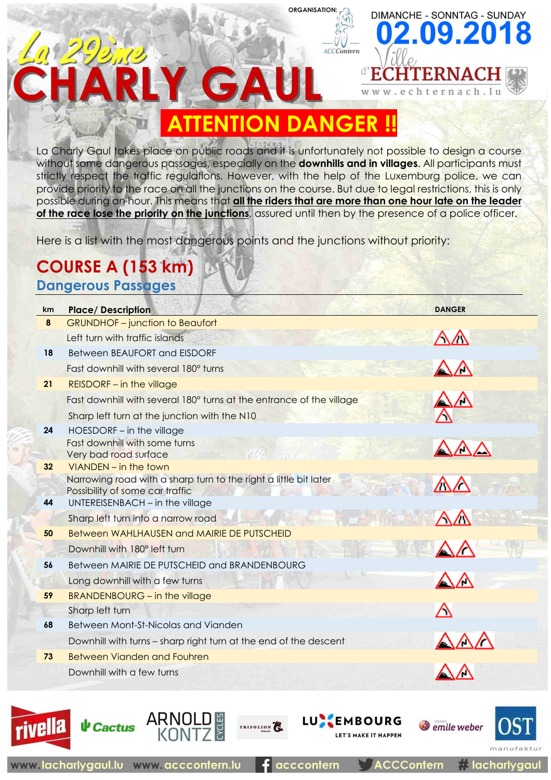### **ENTION DANGER**

**ORGANISATION:** 

**ACCContern** 

đ

DIMANCHE - SONNTAG - SUNDAY

2.09.2018

TERNACH

ternach. In

La Charly Gaul takes place on public roads and it is unfortunately not possible to design a course without some dangerous passages, especially on the **downhills and in villages**. All participants must strictly respect the traffic regulations. However, with the help of the Luxemburg police, we can provide priority to the race on all the junctions on the course. But due to legal restrictions, this is only possible during an hour. This means that **all the riders that are more than one hour late on the leader of the race lose the priority on the junctions**, assured until then by the presence of a police officer.

Here is a list with the most dangerous points and the junctions without priority:

#### **COURSE A (153 km) Dangerous Passages**

 $\overline{\mathbf{P}}$ 

| km | <b>Place/Description</b>                                             | <b>DANGER</b>          |
|----|----------------------------------------------------------------------|------------------------|
| 8  | <b>GRUNDHOF-junction to Beaufort</b>                                 |                        |
|    | Left turn with traffic islands                                       | $\triangle \triangle$  |
| 18 | Between BEAUFORT and EISDORF                                         |                        |
|    | Fast downhill with several 180° turns                                | $\triangle \wedge$     |
| 21 | <b>REISDORF</b> - in the village                                     |                        |
|    | Fast downhill with several 180° turns at the entrance of the village | ╱                      |
|    | Sharp left turn at the junction with the N10                         |                        |
| 24 | HOESDORF - in the village                                            |                        |
|    | Fast downhill with some turns<br>Very bad road surface               | $\triangle$ / $\wedge$ |
| 32 | VIANDEN - in the town                                                |                        |
|    | Narrowing road with a sharp turn to the right a little bit later     | $\triangle\wedge$      |
|    | Possibility of some car traffic<br>不成了 人名                            |                        |
| 44 | UNTEREISENBACH - in the village                                      |                        |
|    | Sharp left turn into a narrow road                                   | $\triangle\triangle$   |
| 50 | Between WAHLHAUSEN and MAIRIE DE PUTSCHEID                           |                        |
|    | Downhill with 180° left turn                                         |                        |
| 56 | Between MAIRIE DE PUTSCHEID and BRANDENBOURG                         |                        |
|    | Long downhill with a few turns                                       | ╱╲                     |
| 59 | <b>BRANDENBOURG - in the village</b>                                 |                        |
|    | Sharp left turn                                                      | Λ                      |
| 68 | Between Mont-St-Nicolas and Vianden                                  |                        |
|    | Downhill with turns – sharp right turn at the end of the descent     |                        |
| 73 | <b>Between Vianden and Fouhren</b>                                   |                        |
|    | Downhill with a few turns                                            |                        |
|    |                                                                      |                        |
|    |                                                                      |                        |





**ARNOLD** 

acccontern

TRIFOLION

**LU EMBOURG** 

LET'S MAKE IT HAPPEN

**ACCContern** 

emile weber

**A** lacharlygaul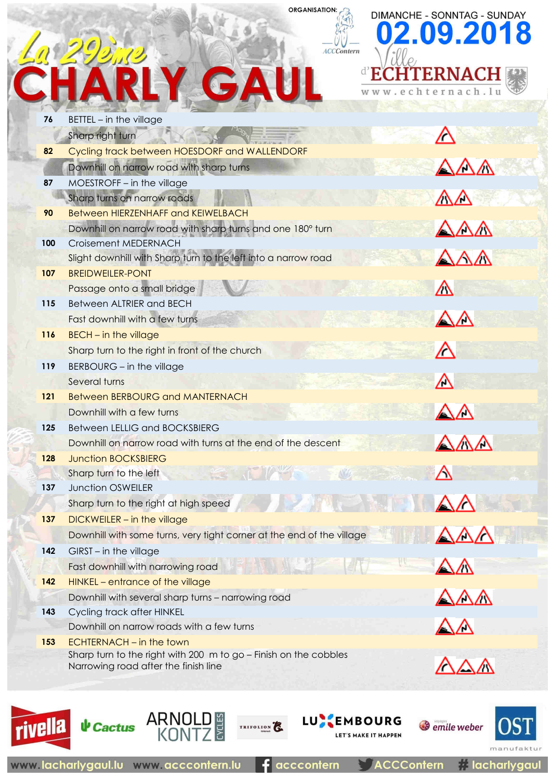# CHARLY GAU

**ORGANISATION:** 

ACCContern

d.

**DIMANCHE - SONNTAG - SUNDAY** 2.09.201







ARNOLD

TRIFOLION<sup>2</sup>

**ACCContern** 

**LU EMBOURG** 

LET'S MAKE IT HAPPEN

**I** lacharlygaul

emile weber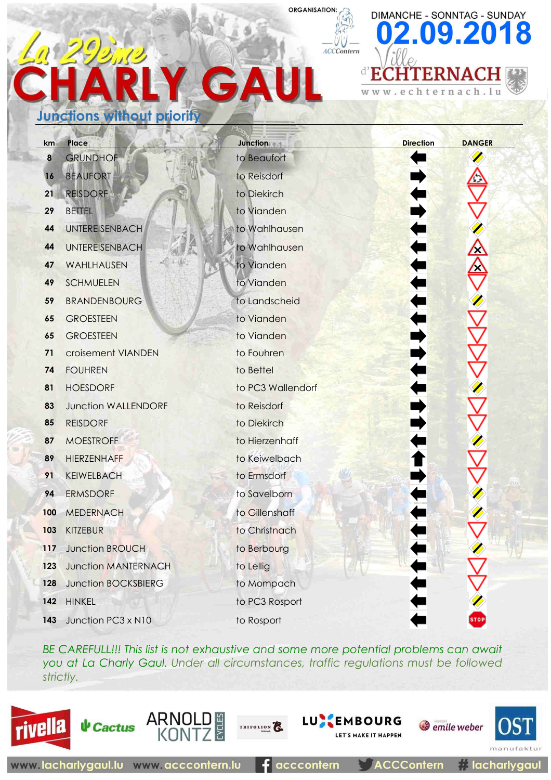# GA **Junctions without priority**

| km               | Place                      | <b>Junction</b>   | <b>Direction</b>   | <b>DANGER</b> |
|------------------|----------------------------|-------------------|--------------------|---------------|
| $\boldsymbol{8}$ | <b>GRUNDHOF</b>            | to Beaufort       |                    |               |
| 16               | <b>BEAUFORT</b>            | to Reisdorf       |                    |               |
| 21               | <b>REISDORF</b>            | to Diekirch       |                    |               |
| 29               | <b>BETTEL</b>              | to Vianden        |                    |               |
| 44               | UNTEREISENBACH             | to Wahlhausen     |                    |               |
| 44               | <b>UNTEREISENBACH</b>      | to Wahlhausen     | <b>-</b><br>-<br>- |               |
| 47               | WAHLHAUSEN                 | to Vianden        |                    |               |
| 49               | <b>SCHMUELEN</b>           | to Vianden        |                    |               |
| 59               | <b>BRANDENBOURG</b>        | to Landscheid     | T<br>E             |               |
| 65               | <b>GROESTEEN</b>           | to Vianden        |                    |               |
| 65               | <b>GROESTEEN</b>           | to Vianden        |                    |               |
| 71               | croisement VIANDEN         | to Fouhren        |                    |               |
| 74               | <b>FOUHREN</b>             | to Bettel         |                    |               |
| 81               | <b>HOESDORF</b>            | to PC3 Wallendorf |                    |               |
| 83               | <b>Junction WALLENDORF</b> | to Reisdorf       |                    |               |
| 85               | <b>REISDORF</b>            | to Diekirch       |                    |               |
| 87               | <b>MOESTROFF</b>           | to Hierzenhaff    |                    |               |
| 89               | <b>HIERZENHAFF</b>         | to Keiwelbach     |                    |               |
| 91               | <b>KEIWELBACH</b>          | to Ermsdorf       |                    |               |
| 94               | <b>ERMSDORF</b>            | to Savelborn      |                    |               |
| 100              | <b>MEDERNACH</b>           | to Gillenshaff    |                    |               |
| 103              | <b>KITZEBUR</b>            | to Christnach     |                    |               |
|                  | 117 Junction BROUCH        | to Berbourg       |                    |               |
| 123              | <b>Junction MANTERNACH</b> | to Lellig         |                    |               |
| 128              | <b>Junction BOCKSBIERG</b> | to Mompach        |                    |               |
| 142              | <b>HINKEL</b>              | to PC3 Rosport    |                    |               |
| 143              | Junction PC3 x N10         | to Rosport        |                    |               |
|                  |                            |                   |                    |               |

**ORGANISATION:** 

ACCContern

**DIMANCHE - SONNTAG - SUNDAY** 

 $\left( 0\right)$ 

 $\mathbf{d}^{\prime}$ E

**W W** 

2.09.2018

TERNACH

chternach.lu

*BE CAREFULL!!! This list is not exhaustive and some more potential problems can await you at La Charly Gaul. Under all circumstances, traffic regulations must be followed strictly.* 

TRIFOLION<sup>2</sup>





**↓ Cactus** 

ARNOLD

acccontern

**ACCContern** 

*Semile* weber

 $max1$ 

**A** lacharlygaul

**LUXEMBOURG** 

LET'S MAKE IT HAPPEN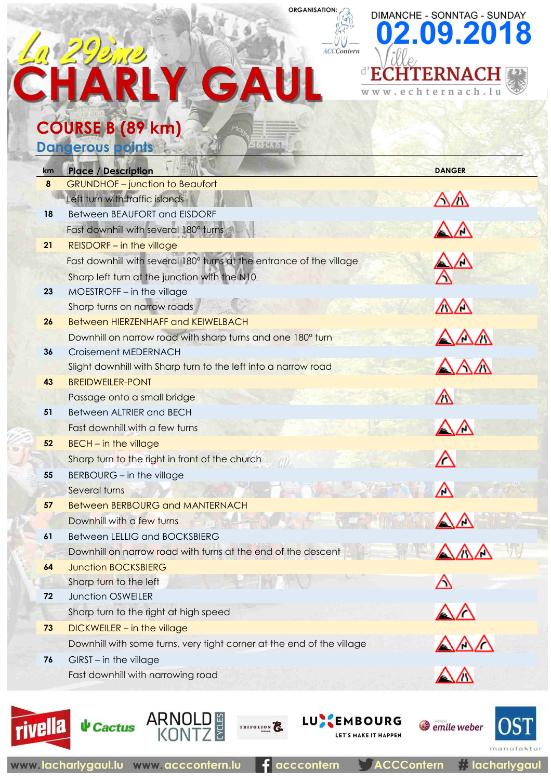# **CHARLY GAU COURSE B (89 km)**

DIMANCHE - SONNTAG - SUNDAY 02.09.2018 d'EC **HTERNACH** 

ternach.lu

### **Dangerous**

| <u>km</u> | <b>Place / Description</b>                                                             | <b>DANGER</b>                 |
|-----------|----------------------------------------------------------------------------------------|-------------------------------|
| 8         | <b>GRUNDHOF-junction to Beaufort</b>                                                   |                               |
|           | Left turn with traffic islands                                                         | $\triangle\triangle$          |
| 18        | Between BEAUFORT and EISDORF                                                           |                               |
|           | Fast downhill with several 180° turns                                                  | $\triangle\triangle$          |
| 21        | <b>REISDORF</b> - in the village                                                       |                               |
|           | Fast downhill with several 180° turns at the entrance of the village                   | △△                            |
|           | Sharp left turn at the junction with the N10                                           |                               |
| 23        | MOESTROFF - in the village                                                             |                               |
|           | Sharp turns on narrow roads                                                            | $\triangle \triangle$         |
| 26        | <b>Between HIERZENHAFF and KEIWELBACH</b>                                              |                               |
|           | Downhill on narrow road with sharp turns and one 180° turn                             | $\triangle\triangle\triangle$ |
| 36        | Croisement MEDERNACH<br>Slight downhill with Sharp turn to the left into a narrow road | AAA                           |
| 43        | <b>BREIDWEILER-PONT</b>                                                                |                               |
|           | Passage onto a small bridge                                                            | Δ                             |
| 51        | <b>Between ALTRIER and BECH</b>                                                        |                               |
|           | Fast downhill with a few turns                                                         | $\triangle \triangle$         |
| 52        | <b>BECH</b> - in the village                                                           |                               |
|           | Sharp turn to the right in front of the church                                         | $\wedge$                      |
| 55        | BERBOURG - in the village                                                              |                               |
|           | Several turns                                                                          | Δ                             |
| 57        | <b>Between BERBOURG and MANTERNACH</b>                                                 |                               |
|           | Downhill with a few turns                                                              |                               |
| 61        | <b>Between LELLIG and BOCKSBIERG</b>                                                   |                               |
|           | Downhill on narrow road with turns at the end of the descent                           |                               |
|           | <b>Junction BOCKSBIERG</b>                                                             |                               |
| 72        | Sharp turn to the left<br><b>Junction OSWEILER</b>                                     |                               |
|           | Sharp turn to the right at high speed                                                  |                               |
| 73        | DICKWEILER - in the village                                                            |                               |
|           | Downhill with some turns, very tight corner at the end of the village                  |                               |
| 76        | GIRST - in the village                                                                 | $\triangle\triangle\varDelta$ |
|           | Fast downhill with narrowing road                                                      |                               |
|           |                                                                                        |                               |
|           |                                                                                        |                               |

**ORGANISATION:** 

ACCContern





acccontern

TRIFOLION<sup>2</sup>

**ACCContern** 

**LUX EMBOURG** 

LET'S MAKE IT HAPPEN

*A* lacharlygaul

*Semile* weber

**JST** 

manuf